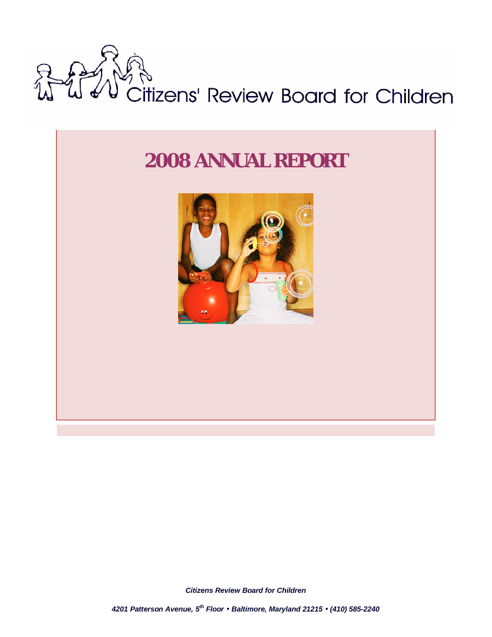

# *2008 ANNUAL REPORT*



*1 Citizens Review Board for Children*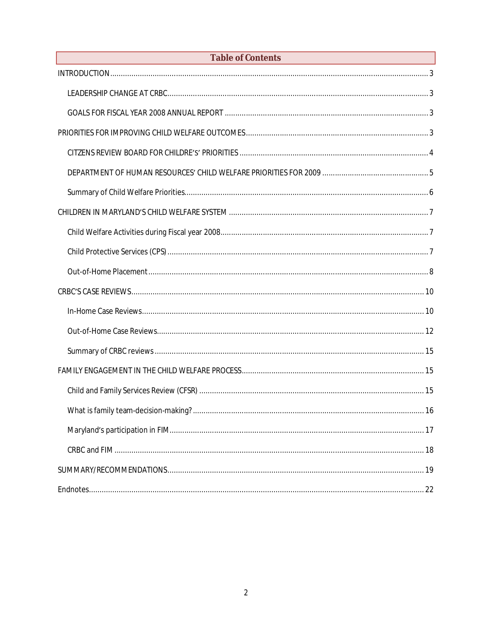| Table of Contents |
|-------------------|
|                   |
|                   |
|                   |
|                   |
|                   |
|                   |
|                   |
|                   |
|                   |
|                   |
|                   |
|                   |
|                   |
|                   |
|                   |
|                   |
|                   |
|                   |
|                   |
|                   |
|                   |
|                   |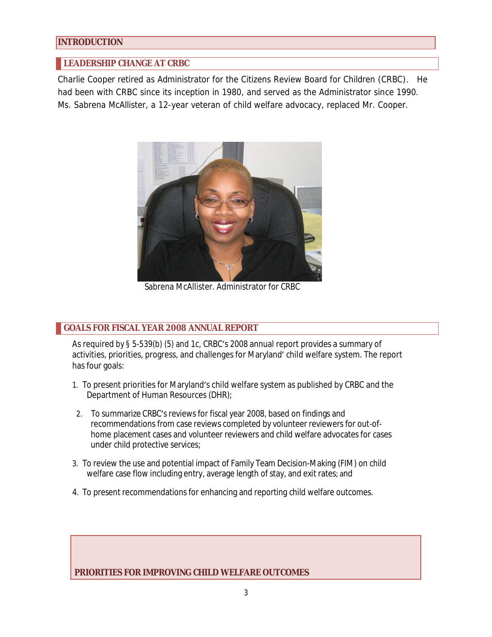### **INTRODUCTION**

# **LEADERSHIP CHANGE AT CRBC**

Charlie Cooper retired as Administrator for the Citizens Review Board for Children (CRBC). He had been with CRBC since its inception in 1980, and served as the Administrator since 1990. Ms. Sabrena McAllister, a 12-year veteran of child welfare advocacy, replaced Mr. Cooper.



Sabrena McAllister. Administrator for CRBC

### **GOALS FOR FISCAL YEAR 2008 ANNUAL REPORT**

As required by § 5-539(b) (5) and 1c, CRBC's 2008 annual report provides a summary of activities, priorities, progress, and challenges for Maryland' child welfare system. The report has four goals:

- 1. To present priorities for Maryland's child welfare system as published by CRBC and the Department of Human Resources (DHR);
- 2. To summarize CRBC's reviews for fiscal year 2008, based on findings and recommendations from case reviews completed by volunteer reviewers for out-ofhome placement cases and volunteer reviewers and child welfare advocates for cases under child protective services;
- 3. To review the use and potential impact of Family Team Decision-Making (FIM) on child welfare case flow including entry, average length of stay, and exit rates; and
- 4. To present recommendations for enhancing and reporting child welfare outcomes.

 **PRIORITIES FOR IMPROVING CHILD WELFARE OUTCOMES**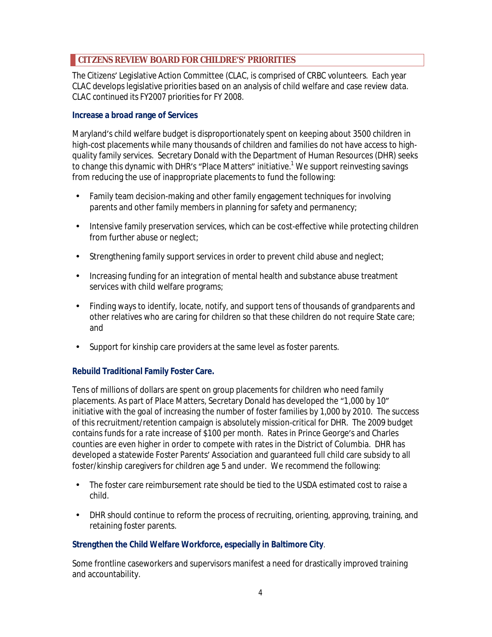# **CITZENS REVIEW BOARD FOR CHILDRE'S' PRIORITIES**

The Citizens͛ Legislative Action Committee (CLAC, is comprised of CRBC volunteers. Each year CLAC develops legislative priorities based on an analysis of child welfare and case review data. CLAC continued its FY2007 priorities for FY 2008.

### **Increase a broad range of Services**

Maryland's child welfare budget is disproportionately spent on keeping about 3500 children in high-cost placements while many thousands of children and families do not have access to highquality family services. Secretary Donald with the Department of Human Resources (DHR) seeks to change this dynamic with DHR's "Place Matters" initiative.<sup>1</sup> We support reinvesting savings from reducing the use of inappropriate placements to fund the following:

- Family team decision-making and other family engagement techniques for involving parents and other family members in planning for safety and permanency;
- Intensive family preservation services, which can be cost-effective while protecting children from further abuse or neglect;
- Strengthening family support services in order to prevent child abuse and neglect;
- Increasing funding for an integration of mental health and substance abuse treatment services with child welfare programs;
- Finding ways to identify, locate, notify, and support tens of thousands of grandparents and other relatives who are caring for children so that these children do not require State care; and
- Support for kinship care providers at the same level as foster parents.

# **Rebuild Traditional Family Foster Care.**

Tens of millions of dollars are spent on group placements for children who need family placements. As part of Place Matters, Secretary Donald has developed the "1,000 by 10" initiative with the goal of increasing the number of foster families by 1,000 by 2010. The success of this recruitment/retention campaign is absolutely mission-critical for DHR. The 2009 budget contains funds for a rate increase of \$100 per month. Rates in Prince George's and Charles counties are even higher in order to compete with rates in the District of Columbia. DHR has developed a statewide Foster Parents' Association and quaranteed full child care subsidy to all foster/kinship caregivers for children age 5 and under. We recommend the following:

- The foster care reimbursement rate should be tied to the USDA estimated cost to raise a child.
- DHR should continue to reform the process of recruiting, orienting, approving, training, and retaining foster parents.

### **Strengthen the Child Welfare Workforce, especially in Baltimore City**.

Some frontline caseworkers and supervisors manifest a need for drastically improved training and accountability.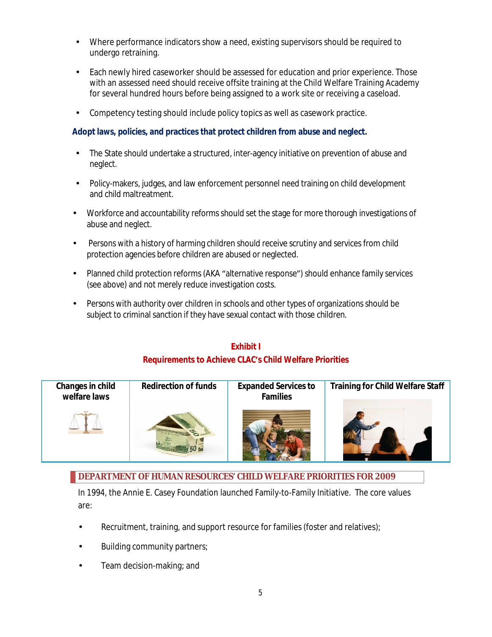- Where performance indicators show a need, existing supervisors should be required to undergo retraining.
- Each newly hired caseworker should be assessed for education and prior experience. Those with an assessed need should receive offsite training at the Child Welfare Training Academy for several hundred hours before being assigned to a work site or receiving a caseload.
- Competency testing should include policy topics as well as casework practice.

**Adopt laws, policies, and practices that protect children from abuse and neglect.**

- The State should undertake a structured, inter-agency initiative on prevention of abuse and neglect.
- Policy-makers, judges, and law enforcement personnel need training on child development and child maltreatment.
- Workforce and accountability reforms should set the stage for more thorough investigations of abuse and neglect.
- Persons with a history of harming children should receive scrutiny and services from child protection agencies before children are abused or neglected.
- Planned child protection reforms (AKA "alternative response") should enhance family services (see above) and not merely reduce investigation costs.
- Persons with authority over children in schools and other types of organizations should be subject to criminal sanction if they have sexual contact with those children.

# **Exhibit I Requirements to Achieve CLAC͛s Child Welfare Priorities**



# **DEPARTMENT OF HUMAN RESOURCES' CHILD WELFARE PRIORITIES FOR 2009**

In 1994, the Annie E. Casey Foundation launched Family-to-Family Initiative. The core values are:

- Recruitment, training, and support resource for families (foster and relatives);
- Building community partners;
- Team decision-making; and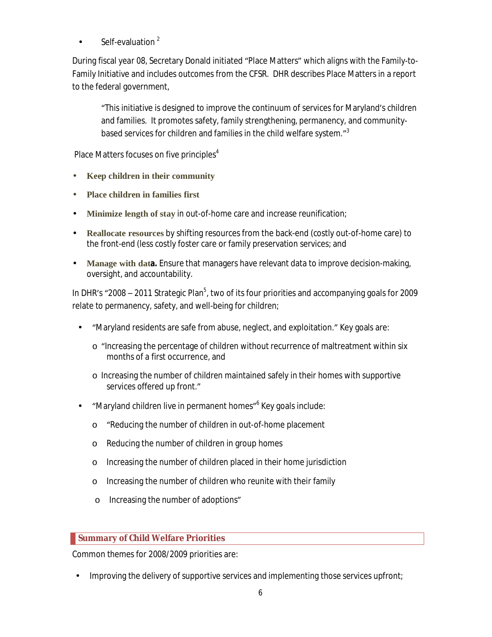Self-evaluation<sup>2</sup>

During fiscal year 08, Secretary Donald initiated "Place Matters" which aligns with the Family-to-Family Initiative and includes outcomes from the CFSR. DHR describes Place Matters in a report to the federal government,

͞This initiative is designed to improve the continuum of services for Maryland͛s children and families. It promotes safety, family strengthening, permanency, and communitybased services for children and families in the child welfare system."<sup>3</sup>

Place Matters focuses on five principles $4$ 

- **Keep children in their community**
- **Place children in families first**
- **Minimize length of stay** in out-of-home care and increase reunification;
- **Reallocate resources** by shifting resources from the back-end (costly out-of-home care) to the front-end (less costly foster care or family preservation services; and
- **Manage with data.** Ensure that managers have relevant data to improve decision-making, oversight, and accountability.

In DHR's "2008 – 2011 Strategic Plan<sup>5</sup>, two of its four priorities and accompanying goals for 2009 relate to permanency, safety, and well-being for children;

- ͞Maryland residents are safe from abuse, neglect, and exploitation.͟ Key goals are:
	- $\circ$  "Increasing the percentage of children without recurrence of maltreatment within six months of a first occurrence, and
	- o Increasing the number of children maintained safely in their homes with supportive services offered up front."
- "Maryland children live in permanent homes" Key goals include:
	- o "Reducing the number of children in out-of-home placement
	- o Reducing the number of children in group homes
	- o Increasing the number of children placed in their home jurisdiction
	- o Increasing the number of children who reunite with their family
	- o Increasing the number of adoptions"

# **Summary of Child Welfare Priorities**

Common themes for 2008/2009 priorities are:

• Improving the delivery of supportive services and implementing those services upfront;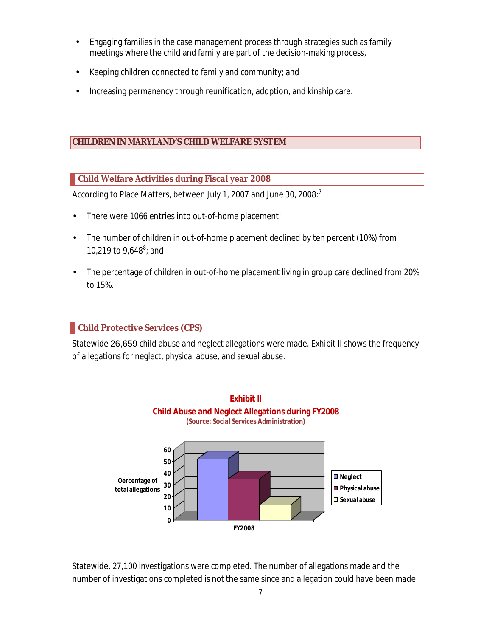- Engaging families in the case management process through strategies such as family meetings where the child and family are part of the decision-making process,
- Keeping children connected to family and community; and
- Increasing permanency through reunification, adoption, and kinship care.

# **CHILDREN IN MARYLAND'S CHILD WELFARE SYSTEM**

# **Child Welfare Activities during Fiscal year 2008**

According to Place Matters, between July 1, 2007 and June 30, 2008:<sup>7</sup>

- There were 1066 entries into out-of-home placement;
- The number of children in out-of-home placement declined by ten percent (10%) from 10,219 to 9,648<sup>8</sup>; and
- The percentage of children in out-of-home placement living in group care declined from 20% to 15%.

# **Child Protective Services (CPS)**

Statewide 26,659 child abuse and neglect allegations were made. Exhibit II shows the frequency of allegations for neglect, physical abuse, and sexual abuse.



Statewide, 27,100 investigations were completed. The number of allegations made and the number of investigations completed is not the same since and allegation could have been made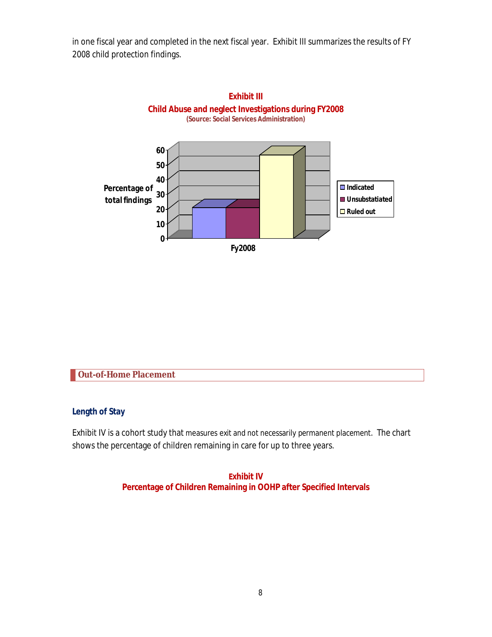in one fiscal year and completed in the next fiscal year. Exhibit III summarizes the results of FY 2008 child protection findings.



**Out-of-Home Placement**

**Length of Stay**

Exhibit IV is a cohort study that measures exit and not necessarily permanent placement. The chart shows the percentage of children remaining in care for up to three years.

> **Exhibit IV Percentage of Children Remaining in OOHP after Specified Intervals**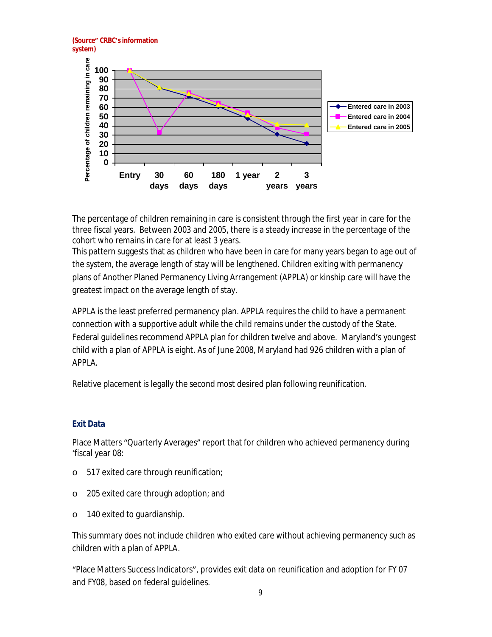

The percentage of children remaining in care is consistent through the first year in care for the three fiscal years. Between 2003 and 2005, there is a steady increase in the percentage of the cohort who remains in care for at least 3 years.

This pattern suggests that as children who have been in care for many years began to age out of the system, the average length of stay will be lengthened. Children exiting with permanency plans of Another Planed Permanency Living Arrangement (APPLA) or kinship care will have the greatest impact on the average length of stay.

APPLA is the least preferred permanency plan. APPLA requires the child to have a permanent connection with a supportive adult while the child remains under the custody of the State. Federal guidelines recommend APPLA plan for children twelve and above. Maryland's youngest child with a plan of APPLA is eight. As of June 2008, Maryland had 926 children with a plan of APPLA.

Relative placement is legally the second most desired plan following reunification.

#### **Exit Data**

Place Matters "Quarterly Averages" report that for children who achieved permanency during ͚fiscal year 08:

- o 517 exited care through reunification;
- o 205 exited care through adoption; and
- o 140 exited to guardianship.

This summary does not include children who exited care without achieving permanency such as children with a plan of APPLA.

͞Place Matters Success Indicators͟, provides exit data on reunification and adoption for FY 07 and FY08, based on federal guidelines.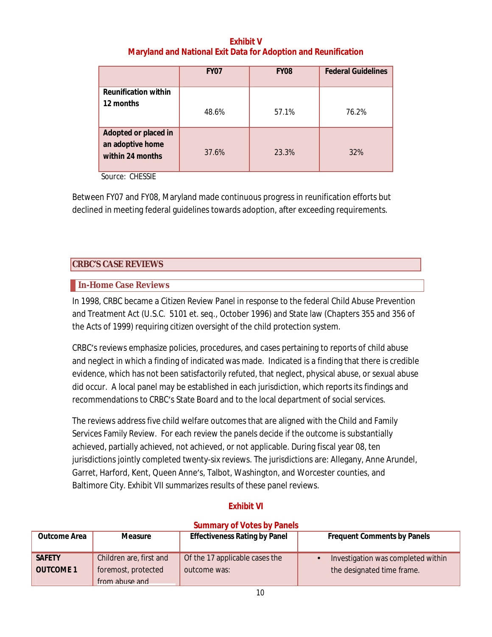# **Exhibit V Maryland and National Exit Data for Adoption and Reunification**

|                                                              | <b>FY07</b> | <b>FY08</b> | <b>Federal Guidelines</b> |
|--------------------------------------------------------------|-------------|-------------|---------------------------|
| Reunification within<br>12 months                            | 48.6%       | 57.1%       | 76.2%                     |
| Adopted or placed in<br>an adoptive home<br>within 24 months | 37.6%       | 23.3%       | 32%                       |

Source: CHESSIE

Between FY07 and FY08, Maryland made continuous progress in reunification efforts but declined in meeting federal guidelines towards adoption, after exceeding requirements.

# **CRBC'S CASE REVIEWS**

# **In-Home Case Reviews**

In 1998, CRBC became a Citizen Review Panel in response to the federal Child Abuse Prevention and Treatment Act (U.S.C. 5101 et. seq., October 1996) and State law (Chapters 355 and 356 of the Acts of 1999) requiring citizen oversight of the child protection system.

CRBC͛s reviews emphasize policies, procedures, and cases pertaining to reports of child abuse and neglect in which a finding of indicated was made. Indicated is a finding that there is credible evidence, which has not been satisfactorily refuted, that neglect, physical abuse, or sexual abuse did occur. A local panel may be established in each jurisdiction, which reports its findings and recommendations to CRBC's State Board and to the local department of social services.

The reviews address five child welfare outcomes that are aligned with the Child and Family Services Family Review. For each review the panels decide if the outcome is substantially achieved, partially achieved, not achieved, or not applicable. During fiscal year 08, ten jurisdictions jointly completed twenty-six reviews. The jurisdictions are: Allegany, Anne Arundel, Garret, Harford, Kent, Queen Anne's, Talbot, Washington, and Worcester counties, and Baltimore City. Exhibit VII summarizes results of these panel reviews.

# **Exhibit VI**

# **Summary of Votes by Panels**

| Outcome Area                      | Measure                                                          | Effectiveness Rating by Panel                  | Frequent Comments by Panels                                      |
|-----------------------------------|------------------------------------------------------------------|------------------------------------------------|------------------------------------------------------------------|
| <b>SAFETY</b><br><b>OUTCOME 1</b> | Children are, first and<br>foremost, protected<br>from abuse and | Of the 17 applicable cases the<br>outcome was: | Investigation was completed within<br>the designated time frame. |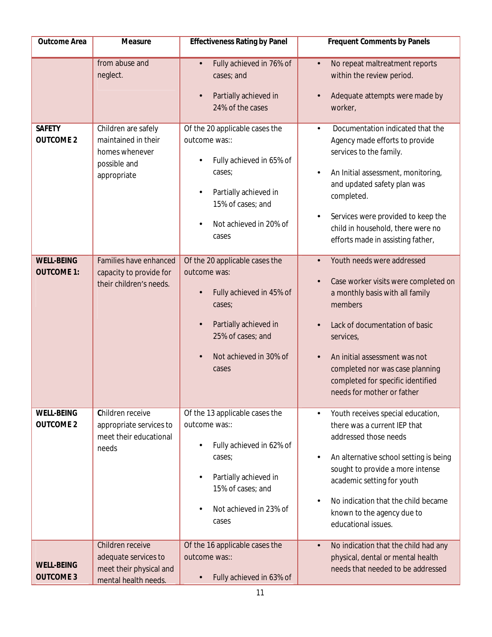| Outcome Area                           | Measure                                                                                     | <b>Effectiveness Rating by Panel</b>                                                                                                                                                             | Frequent Comments by Panels                                                                                                                                                                                                                                                                                                  |
|----------------------------------------|---------------------------------------------------------------------------------------------|--------------------------------------------------------------------------------------------------------------------------------------------------------------------------------------------------|------------------------------------------------------------------------------------------------------------------------------------------------------------------------------------------------------------------------------------------------------------------------------------------------------------------------------|
|                                        | from abuse and<br>neglect.                                                                  | Fully achieved in 76% of<br>$\bullet$<br>cases; and<br>Partially achieved in<br>$\bullet$<br>24% of the cases                                                                                    | No repeat maltreatment reports<br>$\bullet$<br>within the review period.<br>Adequate attempts were made by<br>worker,                                                                                                                                                                                                        |
| <b>SAFETY</b><br><b>OUTCOME 2</b>      | Children are safely<br>maintained in their<br>homes whenever<br>possible and<br>appropriate | Of the 20 applicable cases the<br>outcome was::<br>Fully achieved in 65% of<br>cases;<br>Partially achieved in<br>$\bullet$<br>15% of cases; and<br>Not achieved in 20% of<br>$\bullet$<br>cases | Documentation indicated that the<br>$\bullet$<br>Agency made efforts to provide<br>services to the family.<br>An Initial assessment, monitoring,<br>and updated safety plan was<br>completed.<br>Services were provided to keep the<br>child in household, there were no<br>efforts made in assisting father,                |
| <b>WELL-BEING</b><br><b>OUTCOME 1:</b> | Families have enhanced<br>capacity to provide for<br>their children's needs.                | Of the 20 applicable cases the<br>outcome was:<br>Fully achieved in 45% of<br>$\bullet$<br>cases;<br>Partially achieved in<br>$\bullet$<br>25% of cases; and<br>Not achieved in 30% of<br>cases  | Youth needs were addressed<br>Case worker visits were completed on<br>a monthly basis with all family<br>members<br>Lack of documentation of basic<br>services,<br>An initial assessment was not<br>completed nor was case planning<br>completed for specific identified<br>needs for mother or father                       |
| <b>WELL-BEING</b><br><b>OUTCOME 2</b>  | Children receive<br>appropriate services to<br>meet their educational<br>needs              | Of the 13 applicable cases the<br>outcome was::<br>Fully achieved in 62% of<br>cases;<br>Partially achieved in<br>$\bullet$<br>15% of cases; and<br>Not achieved in 23% of<br>$\bullet$<br>cases | Youth receives special education,<br>$\bullet$<br>there was a current IEP that<br>addressed those needs<br>An alternative school setting is being<br>$\bullet$<br>sought to provide a more intense<br>academic setting for youth<br>No indication that the child became<br>known to the agency due to<br>educational issues. |
| <b>WELL-BEING</b><br><b>OUTCOME 3</b>  | Children receive<br>adequate services to<br>meet their physical and<br>mental health needs. | Of the 16 applicable cases the<br>outcome was::<br>Fully achieved in 63% of<br>$\bullet$                                                                                                         | No indication that the child had any<br>$\bullet$<br>physical, dental or mental health<br>needs that needed to be addressed                                                                                                                                                                                                  |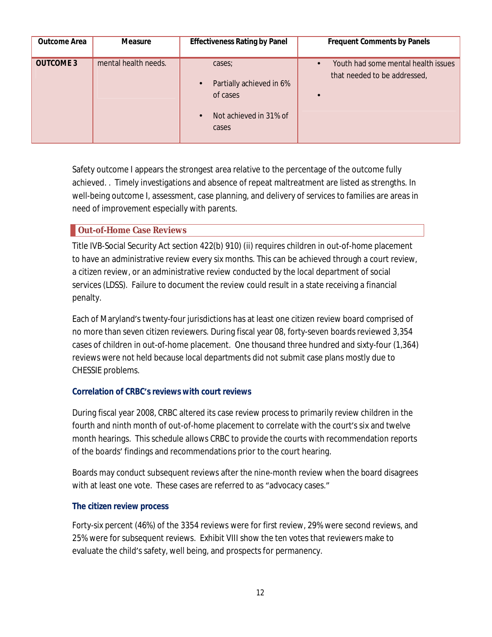| Outcome Area     | Measure              | <b>Effectiveness Rating by Panel</b>                                                                        | Frequent Comments by Panels                                         |
|------------------|----------------------|-------------------------------------------------------------------------------------------------------------|---------------------------------------------------------------------|
| <b>OUTCOME 3</b> | mental health needs. | cases;<br>Partially achieved in 6%<br>$\bullet$<br>of cases<br>Not achieved in 31% of<br>$\bullet$<br>cases | Youth had some mental health issues<br>that needed to be addressed, |

Safety outcome I appears the strongest area relative to the percentage of the outcome fully achieved. . Timely investigations and absence of repeat maltreatment are listed as strengths. In well-being outcome I, assessment, case planning, and delivery of services to families are areas in need of improvement especially with parents.

### **Out-of-Home Case Reviews**

Title IVB-Social Security Act section 422(b) 910) (ii) requires children in out-of-home placement to have an administrative review every six months. This can be achieved through a court review, a citizen review, or an administrative review conducted by the local department of social services (LDSS). Failure to document the review could result in a state receiving a financial penalty.

Each of Maryland͛s twenty-four jurisdictions has at least one citizen review board comprised of no more than seven citizen reviewers. During fiscal year 08, forty-seven boards reviewed 3,354 cases of children in out-of-home placement. One thousand three hundred and sixty-four (1,364) reviews were not held because local departments did not submit case plans mostly due to CHESSIE problems.

### **Correlation of CRBC͛s reviews with court reviews**

During fiscal year 2008, CRBC altered its case review process to primarily review children in the fourth and ninth month of out-of-home placement to correlate with the court's six and twelve month hearings. This schedule allows CRBC to provide the courts with recommendation reports of the boards͛ findings and recommendations prior to the court hearing.

Boards may conduct subsequent reviews after the nine-month review when the board disagrees with at least one vote. These cases are referred to as "advocacy cases."

### **The citizen review process**

Forty-six percent (46%) of the 3354 reviews were for first review, 29% were second reviews, and 25% were for subsequent reviews. Exhibit VIII show the ten votes that reviewers make to evaluate the child's safety, well being, and prospects for permanency.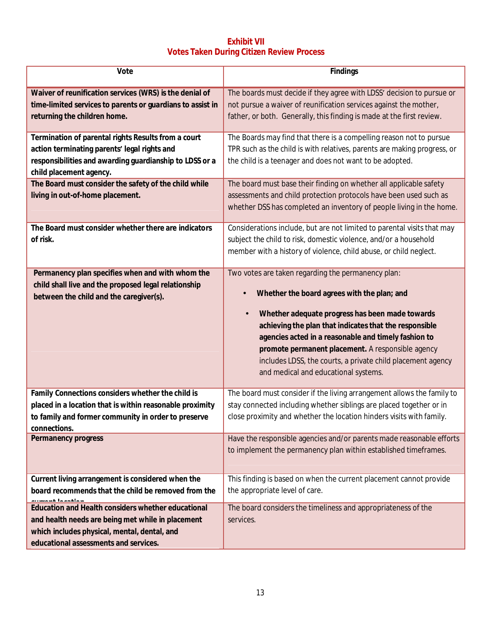# **Exhibit VII Votes Taken During Citizen Review Process**

| Vote                                                                                                                                                                                             | Findings                                                                                                                                                                                                                                                                                                                                                                                                                                        |
|--------------------------------------------------------------------------------------------------------------------------------------------------------------------------------------------------|-------------------------------------------------------------------------------------------------------------------------------------------------------------------------------------------------------------------------------------------------------------------------------------------------------------------------------------------------------------------------------------------------------------------------------------------------|
| Waiver of reunification services (WRS) is the denial of<br>time-limited services to parents or guardians to assist in<br>returning the children home.                                            | The boards must decide if they agree with LDSS' decision to pursue or<br>not pursue a waiver of reunification services against the mother,<br>father, or both. Generally, this finding is made at the first review.                                                                                                                                                                                                                             |
| Termination of parental rights Results from a court<br>action terminating parents' legal rights and<br>responsibilities and awarding guardianship to LDSS or a<br>child placement agency.        | The Boards may find that there is a compelling reason not to pursue<br>TPR such as the child is with relatives, parents are making progress, or<br>the child is a teenager and does not want to be adopted.                                                                                                                                                                                                                                     |
| The Board must consider the safety of the child while<br>living in out-of-home placement.                                                                                                        | The board must base their finding on whether all applicable safety<br>assessments and child protection protocols have been used such as<br>whether DSS has completed an inventory of people living in the home.                                                                                                                                                                                                                                 |
| The Board must consider whether there are indicators<br>of risk.                                                                                                                                 | Considerations include, but are not limited to parental visits that may<br>subject the child to risk, domestic violence, and/or a household<br>member with a history of violence, child abuse, or child neglect.                                                                                                                                                                                                                                |
| Permanency plan specifies when and with whom the<br>child shall live and the proposed legal relationship<br>between the child and the caregiver(s).                                              | Two votes are taken regarding the permanency plan:<br>Whether the board agrees with the plan; and<br>Whether adequate progress has been made towards<br>$\bullet$<br>achieving the plan that indicates that the responsible<br>agencies acted in a reasonable and timely fashion to<br>promote permanent placement. A responsible agency<br>includes LDSS, the courts, a private child placement agency<br>and medical and educational systems. |
| Family Connections considers whether the child is<br>placed in a location that is within reasonable proximity<br>to family and former community in order to preserve<br>connections.             | The board must consider if the living arrangement allows the family to<br>stay connected including whether siblings are placed together or in<br>close proximity and whether the location hinders visits with family.                                                                                                                                                                                                                           |
| Permanency progress                                                                                                                                                                              | Have the responsible agencies and/or parents made reasonable efforts<br>to implement the permanency plan within established timeframes.                                                                                                                                                                                                                                                                                                         |
| Current living arrangement is considered when the<br>board recommends that the child be removed from the                                                                                         | This finding is based on when the current placement cannot provide<br>the appropriate level of care.                                                                                                                                                                                                                                                                                                                                            |
| Education and Health considers whether educational<br>and health needs are being met while in placement<br>which includes physical, mental, dental, and<br>educational assessments and services. | The board considers the timeliness and appropriateness of the<br>services.                                                                                                                                                                                                                                                                                                                                                                      |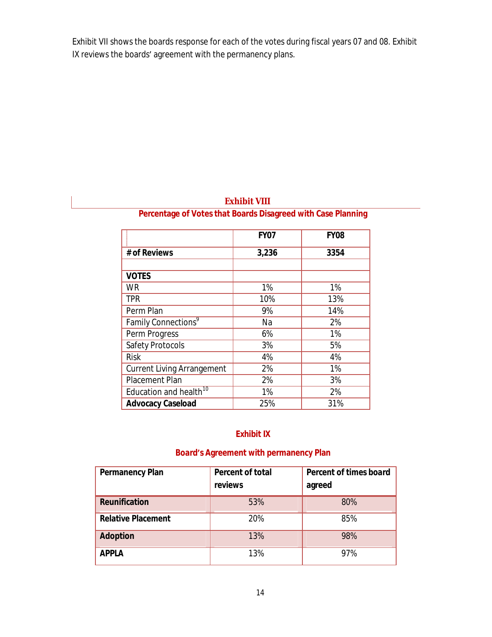Exhibit VII shows the boards response for each of the votes during fiscal years 07 and 08. Exhibit IX reviews the boards' agreement with the permanency plans.

|                                    | <b>FY07</b> | <b>FY08</b> |
|------------------------------------|-------------|-------------|
| # of Reviews                       | 3,236       | 3354        |
|                                    |             |             |
| <b>VOTES</b>                       |             |             |
| <b>WR</b>                          | 1%          | 1%          |
| <b>TPR</b>                         | 10%         | 13%         |
| Perm Plan                          | 9%          | 14%         |
| Family Connections <sup>9</sup>    | Na          | 2%          |
| Perm Progress                      | 6%          | 1%          |
| <b>Safety Protocols</b>            | 3%          | 5%          |
| <b>Risk</b>                        | 4%          | 4%          |
| <b>Current Living Arrangement</b>  | 2%          | 1%          |
| <b>Placement Plan</b>              | 2%          | 3%          |
| Education and health <sup>10</sup> | 1%          | 2%          |
| Advocacy Caseload                  | 25%         | 31%         |

# **Exhibit VIII**

# **Percentage of Votes that Boards Disagreed with Case Planning**

# **Exhibit IX**

# **Board͛s Agreement with permanency Plan**

| Permanency Plan           | Percent of total<br>reviews | Percent of times board<br>agreed |
|---------------------------|-----------------------------|----------------------------------|
| Reunification             | 53%                         | 80%                              |
| <b>Relative Placement</b> | 20%                         | 85%                              |
| Adoption                  | 13%                         | 98%                              |
| <b>APPLA</b>              | 13%                         | 97%                              |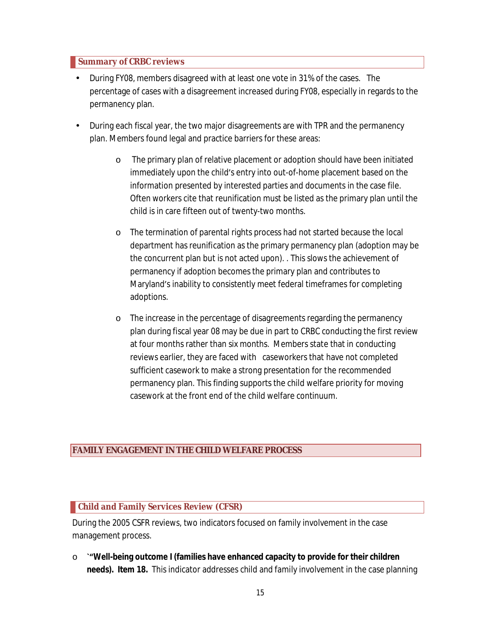### **Summary of CRBC reviews**

- During FY08, members disagreed with at least one vote in 31% of the cases. The percentage of cases with a disagreement increased during FY08, especially in regards to the permanency plan.
- During each fiscal year, the two major disagreements are with TPR and the permanency plan. Members found legal and practice barriers for these areas:
	- o The primary plan of relative placement or adoption should have been initiated immediately upon the child's entry into out-of-home placement based on the information presented by interested parties and documents in the case file. Often workers cite that reunification must be listed as the primary plan until the child is in care fifteen out of twenty-two months.
	- o The termination of parental rights process had not started because the local department has reunification as the primary permanency plan (adoption may be the concurrent plan but is not acted upon). . This slows the achievement of permanency if adoption becomes the primary plan and contributes to Maryland's inability to consistently meet federal timeframes for completing adoptions.
	- o The increase in the percentage of disagreements regarding the permanency plan during fiscal year 08 may be due in part to CRBC conducting the first review at four months rather than six months. Members state that in conducting reviews earlier, they are faced with caseworkers that have not completed sufficient casework to make a strong presentation for the recommended permanency plan. This finding supports the child welfare priority for moving casework at the front end of the child welfare continuum.

### **FAMILY ENGAGEMENT IN THE CHILD WELFARE PROCESS**

### **Child and Family Services Review (CFSR)**

During the 2005 CSFR reviews, two indicators focused on family involvement in the case management process.

o **ǭ͞Well-being outcome I (families have enhanced capacity to provide for their children needs). Item 18.** This indicator addresses child and family involvement in the case planning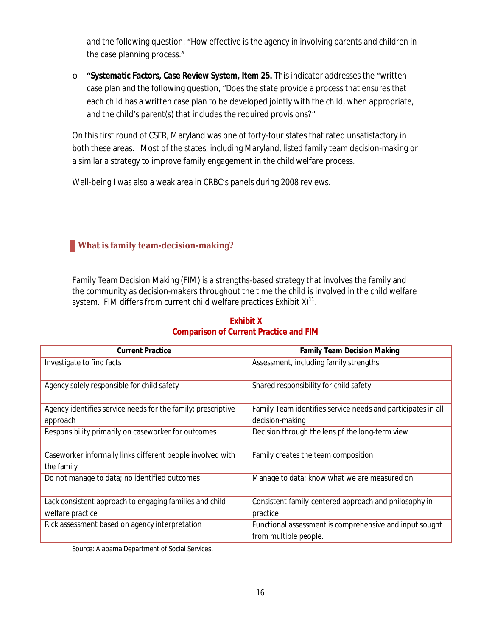and the following question: "How effective is the agency in involving parents and children in the case planning process."

o **͞Systematic Factors, Case Review System, Item 25.** This indicator addresses the ͞written case plan and the following question, "Does the state provide a process that ensures that each child has a written case plan to be developed jointly with the child, when appropriate, and the child's parent(s) that includes the required provisions?"

On this first round of CSFR, Maryland was one of forty-four states that rated unsatisfactory in both these areas. Most of the states, including Maryland, listed family team decision-making or a similar a strategy to improve family engagement in the child welfare process.

Well-being I was also a weak area in CRBC's panels during 2008 reviews.

**What is family team-decision-making?**

Family Team Decision Making (FIM) is a strengths-based strategy that involves the family and the community as decision-makers throughout the time the child is involved in the child welfare system. FIM differs from current child welfare practices Exhibit X) $^{\mathsf{11}}$ .

| <b>Current Practice</b>                                                  | <b>Family Team Decision Making</b>                           |
|--------------------------------------------------------------------------|--------------------------------------------------------------|
| Investigate to find facts                                                | Assessment, including family strengths                       |
| Agency solely responsible for child safety                               | Shared responsibility for child safety                       |
| Agency identifies service needs for the family; prescriptive             | Family Team identifies service needs and participates in all |
| approach                                                                 | decision-making                                              |
| Responsibility primarily on caseworker for outcomes                      | Decision through the lens pf the long-term view              |
| Caseworker informally links different people involved with<br>the family | Family creates the team composition                          |
| Do not manage to data; no identified outcomes                            | Manage to data; know what we are measured on                 |
| Lack consistent approach to engaging families and child                  | Consistent family-centered approach and philosophy in        |
| welfare practice                                                         | practice                                                     |
| Rick assessment based on agency interpretation                           | Functional assessment is comprehensive and input sought      |
|                                                                          | from multiple people.                                        |

# **Exhibit X Comparison of Current Practice and FIM**

Source: Alabama Department of Social Services.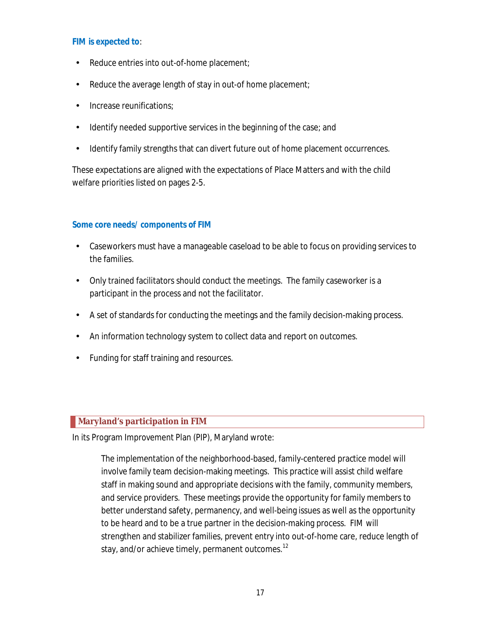#### **FIM is expected to**:

- Reduce entries into out-of-home placement;
- Reduce the average length of stay in out-of home placement;
- Increase reunifications;
- Identify needed supportive services in the beginning of the case; and
- Identify family strengths that can divert future out of home placement occurrences.

These expectations are aligned with the expectations of Place Matters and with the child welfare priorities listed on pages 2-5.

### **Some core needs/ components of FIM**

- Caseworkers must have a manageable caseload to be able to focus on providing services to the families.
- Only trained facilitators should conduct the meetings. The family caseworker is a participant in the process and not the facilitator.
- A set of standards for conducting the meetings and the family decision-making process.
- An information technology system to collect data and report on outcomes.
- Funding for staff training and resources.

# **Maryland's participation in FIM**

In its Program Improvement Plan (PIP), Maryland wrote:

The implementation of the neighborhood-based, family-centered practice model will involve family team decision-making meetings. This practice will assist child welfare staff in making sound and appropriate decisions with the family, community members, and service providers. These meetings provide the opportunity for family members to better understand safety, permanency, and well-being issues as well as the opportunity to be heard and to be a true partner in the decision-making process. FIM will strengthen and stabilizer families, prevent entry into out-of-home care, reduce length of stay, and/or achieve timely, permanent outcomes. $^{12}$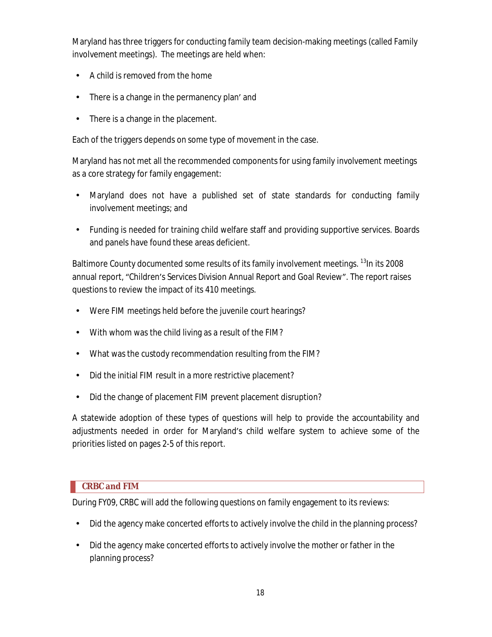Maryland has three triggers for conducting family team decision-making meetings (called Family involvement meetings). The meetings are held when:

- A child is removed from the home
- There is a change in the permanency plan' and
- There is a change in the placement.

Each of the triggers depends on some type of movement in the case.

Maryland has not met all the recommended components for using family involvement meetings as a core strategy for family engagement:

- Maryland does not have a published set of state standards for conducting family involvement meetings; and
- Funding is needed for training child welfare staff and providing supportive services. Boards and panels have found these areas deficient.

Baltimore County documented some results of its family involvement meetings. <sup>13</sup>In its 2008 annual report, "Children's Services Division Annual Report and Goal Review". The report raises questions to review the impact of its 410 meetings.

- Were FIM meetings held before the juvenile court hearings?
- With whom was the child living as a result of the FIM?
- What was the custody recommendation resulting from the FIM?
- Did the initial FIM result in a more restrictive placement?
- Did the change of placement FIM prevent placement disruption?

A statewide adoption of these types of questions will help to provide the accountability and adjustments needed in order for Maryland's child welfare system to achieve some of the priorities listed on pages 2-5 of this report.

# **CRBC and FIM**

During FY09, CRBC will add the following questions on family engagement to its reviews:

- Did the agency make concerted efforts to actively involve the child in the planning process?
- Did the agency make concerted efforts to actively involve the mother or father in the planning process?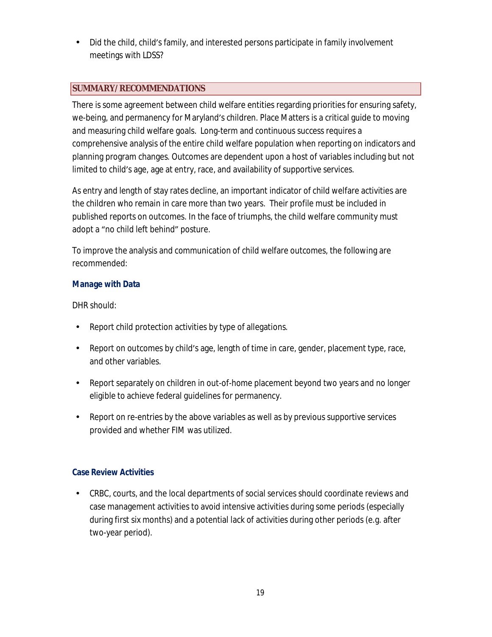• Did the child, child's family, and interested persons participate in family involvement meetings with LDSS?

# **SUMMARY/RECOMMENDATIONS**

There is some agreement between child welfare entities regarding priorities for ensuring safety, we-being, and permanency for Maryland's children. Place Matters is a critical guide to moving and measuring child welfare goals. Long-term and continuous success requires a comprehensive analysis of the entire child welfare population when reporting on indicators and planning program changes. Outcomes are dependent upon a host of variables including but not limited to child's age, age at entry, race, and availability of supportive services.

As entry and length of stay rates decline, an important indicator of child welfare activities are the children who remain in care more than two years. Their profile must be included in published reports on outcomes. In the face of triumphs, the child welfare community must adopt a "no child left behind" posture.

To improve the analysis and communication of child welfare outcomes, the following are recommended:

# **Manage with Data**

DHR should:

- Report child protection activities by type of allegations.
- Report on outcomes by child's age, length of time in care, gender, placement type, race, and other variables.
- Report separately on children in out-of-home placement beyond two years and no longer eligible to achieve federal guidelines for permanency.
- Report on re-entries by the above variables as well as by previous supportive services provided and whether FIM was utilized.

# **Case Review Activities**

• CRBC, courts, and the local departments of social services should coordinate reviews and case management activities to avoid intensive activities during some periods (especially during first six months) and a potential lack of activities during other periods (e.g. after two-year period).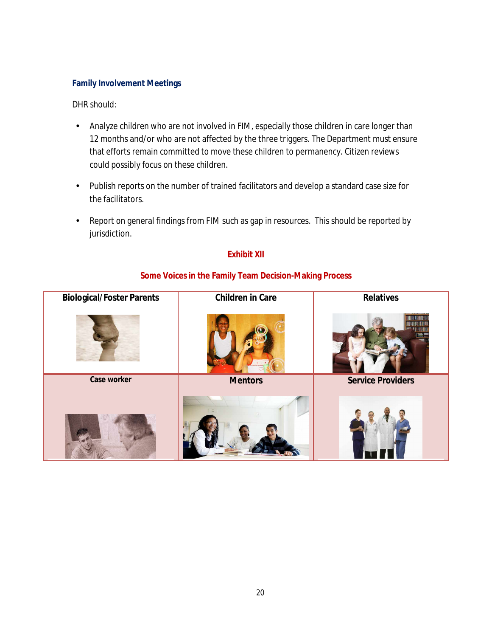### **Family Involvement Meetings**

### DHR should:

- Analyze children who are not involved in FIM, especially those children in care longer than 12 months and/or who are not affected by the three triggers. The Department must ensure that efforts remain committed to move these children to permanency. Citizen reviews could possibly focus on these children.
- Publish reports on the number of trained facilitators and develop a standard case size for the facilitators.
- Report on general findings from FIM such as gap in resources. This should be reported by jurisdiction.

# **Exhibit XII**



### **Some Voices in the Family Team Decision-Making Process**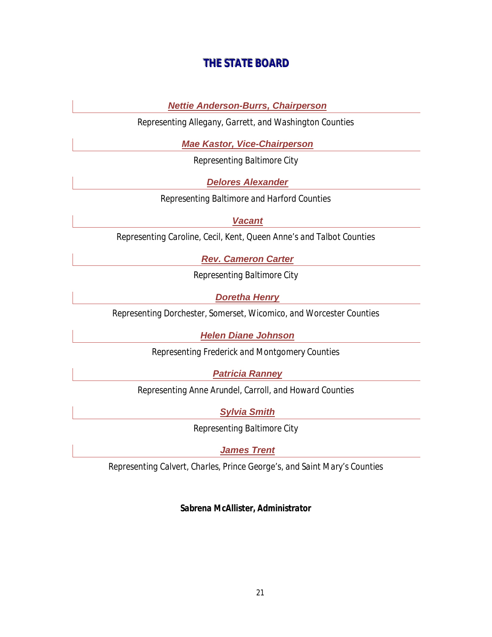# **THE STATE BOARD**

*Nettie Anderson-Burrs, Chairperson*

*Representing Allegany, Garrett, and Washington Counties*

*Mae Kastor, Vice-Chairperson*

*Representing Baltimore City*

*Delores Alexander*

*Representing Baltimore and Harford Counties*

*Vacant*

*Representing Caroline, Cecil, Kent, Queen Anne's and Talbot Counties*

*Rev. Cameron Carter*

*Representing Baltimore City*

*Doretha Henry*

*Representing Dorchester, Somerset, Wicomico, and Worcester Counties*

*Helen Diane Johnson*

*Representing Frederick and Montgomery Counties*

*Patricia Ranney*

*Representing Anne Arundel, Carroll, and Howard Counties*

*Sylvia Smith*

*Representing Baltimore City*

*James Trent*

*Representing Calvert, Charles, Prince George's, and Saint Mary's Counties*

*Sabrena McAllister, Administrator*